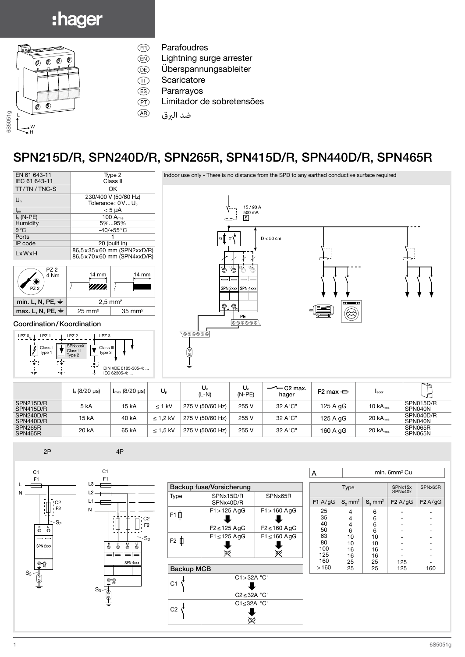## :hager



- (FR) Parafoudres
- $(\widehat{\mathsf{EN}})$  Lightning surge arrester
- *<u>CE</u>* Überspannungsableiter
- $(T)$  Scaricatore
- (ES) Pararrayos
- (PT) Limitador de sobretensões
- ضد البرق (AR

## SPN215D/R, SPN240D/R, SPN265R, SPN415D/R, SPN440D/R, SPN465R



$$
2P \hspace{1.5cm} 4P
$$



C2

F2

 $S_2$ 



| min. 6mm <sup>2</sup> Cu<br>А |                       |                         |                    |         |
|-------------------------------|-----------------------|-------------------------|--------------------|---------|
| <b>Type</b>                   |                       |                         | SPNx15x<br>SPNx40x | SPNx65R |
| $F1$ A/gG                     | $S_2$ mm <sup>2</sup> | $S_{2}$ mm <sup>2</sup> | F2A/gG             | F2A/gG  |
| 25                            | 4                     | 6                       |                    |         |
| 35                            | 4                     | 6                       |                    |         |
| 40                            | 4                     | 6                       |                    |         |
| 50                            | 6                     | 6                       |                    |         |
| 63                            | 10                    | 10                      |                    |         |
| 80                            | 10                    | 10                      |                    |         |
| 100                           | 16                    | 16                      |                    |         |
| 125                           | 16                    | 16                      |                    |         |
| 160                           | 25                    | 25                      | 125                |         |
| >160                          | 25                    | 25                      | 125                | 160     |